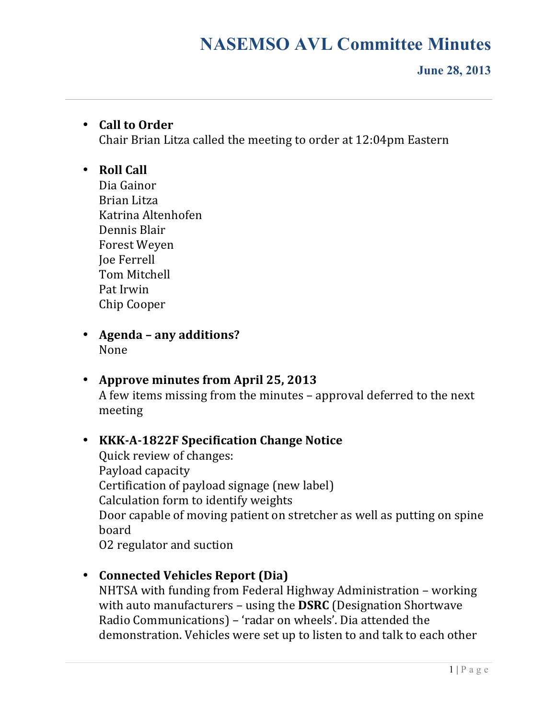#### **June 28, 2013**

### • **Call to Order**

Chair Brian Litza called the meeting to order at 12:04pm Eastern

#### • **Roll Call**

Dia Gainor Brian Litza Katrina Altenhofen Dennis Blair Forest Weyen Joe Ferrell Tom Mitchell Pat Irwin Chip Cooper

- **Agenda – any additions?** None
- **Approve minutes from April 25, 2013** A few items missing from the minutes - approval deferred to the next meeting

### • **KKK-A-1822F Specification Change Notice**

Quick review of changes: Payload capacity Certification of payload signage (new label) Calculation form to identify weights Door capable of moving patient on stretcher as well as putting on spine board O2 regulator and suction

• **Connected Vehicles Report (Dia)**

NHTSA with funding from Federal Highway Administration – working with auto manufacturers – using the **DSRC** (Designation Shortwave Radio Communications) – 'radar on wheels'. Dia attended the demonstration. Vehicles were set up to listen to and talk to each other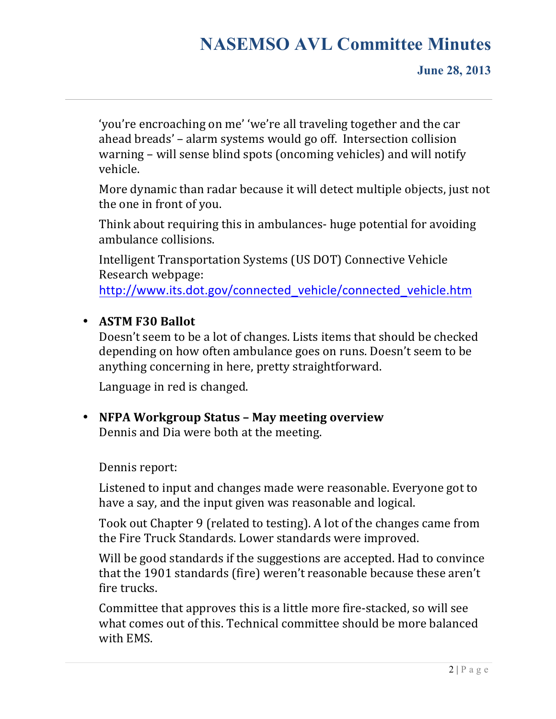'you're encroaching on me' 'we're all traveling together and the car ahead breads' - alarm systems would go off. Intersection collision warning  $-$  will sense blind spots (oncoming vehicles) and will notify vehicle. 

More dynamic than radar because it will detect multiple objects, just not the one in front of you.

Think about requiring this in ambulances- huge potential for avoiding ambulance collisions.

Intelligent Transportation Systems (US DOT) Connective Vehicle Research webpage:

http://www.its.dot.gov/connected\_vehicle/connected\_vehicle.htm

### • **ASTM F30 Ballot**

Doesn't seem to be a lot of changes. Lists items that should be checked depending on how often ambulance goes on runs. Doesn't seem to be anything concerning in here, pretty straightforward.

Language in red is changed.

• **NFPA Workgroup Status – May meeting overview** Dennis and Dia were both at the meeting.

Dennis report:

Listened to input and changes made were reasonable. Everyone got to have a say, and the input given was reasonable and logical.

Took out Chapter 9 (related to testing). A lot of the changes came from the Fire Truck Standards. Lower standards were improved.

Will be good standards if the suggestions are accepted. Had to convince that the 1901 standards (fire) weren't reasonable because these aren't fire trucks.

Committee that approves this is a little more fire-stacked, so will see what comes out of this. Technical committee should be more balanced with EMS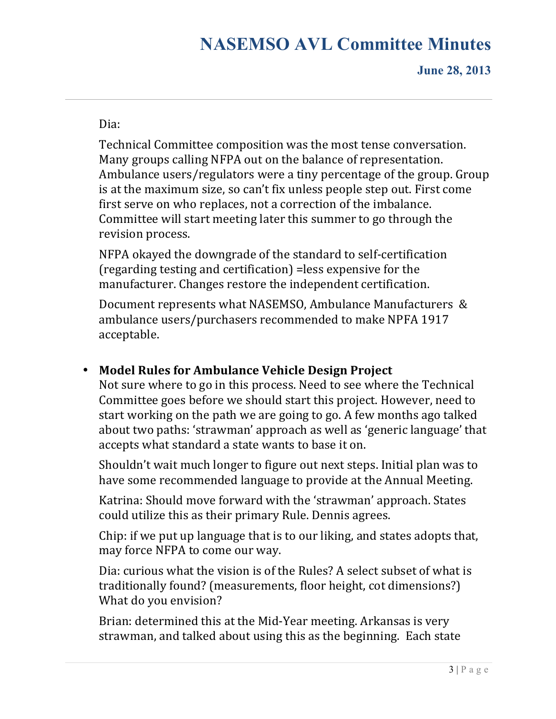#### Dia:

Technical Committee composition was the most tense conversation. Many groups calling NFPA out on the balance of representation. Ambulance users/regulators were a tiny percentage of the group. Group is at the maximum size, so can't fix unless people step out. First come first serve on who replaces, not a correction of the imbalance. Committee will start meeting later this summer to go through the revision process.

NFPA okayed the downgrade of the standard to self-certification (regarding testing and certification) = less expensive for the manufacturer. Changes restore the independent certification.

Document represents what NASEMSO, Ambulance Manufacturers & ambulance users/purchasers recommended to make NPFA 1917 acceptable.

## • Model Rules for Ambulance Vehicle Design Project

Not sure where to go in this process. Need to see where the Technical Committee goes before we should start this project. However, need to start working on the path we are going to go. A few months ago talked about two paths: 'strawman' approach as well as 'generic language' that accepts what standard a state wants to base it on.

Shouldn't wait much longer to figure out next steps. Initial plan was to have some recommended language to provide at the Annual Meeting.

Katrina: Should move forward with the 'strawman' approach. States could utilize this as their primary Rule. Dennis agrees.

Chip: if we put up language that is to our liking, and states adopts that, may force NFPA to come our way.

Dia: curious what the vision is of the Rules? A select subset of what is traditionally found? (measurements, floor height, cot dimensions?) What do you envision?

Brian: determined this at the Mid-Year meeting. Arkansas is very strawman, and talked about using this as the beginning. Each state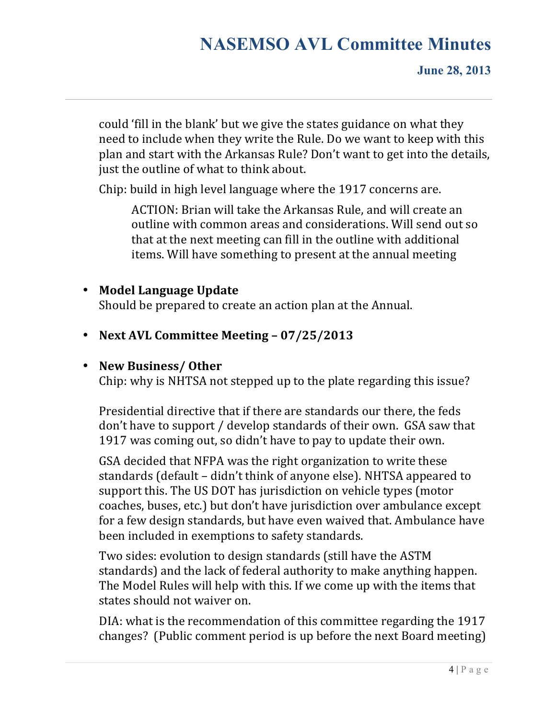could 'fill in the blank' but we give the states guidance on what they need to include when they write the Rule. Do we want to keep with this plan and start with the Arkansas Rule? Don't want to get into the details, just the outline of what to think about.

Chip: build in high level language where the 1917 concerns are.

ACTION: Brian will take the Arkansas Rule, and will create an outline with common areas and considerations. Will send out so that at the next meeting can fill in the outline with additional items. Will have something to present at the annual meeting

### • **Model Language Update**

Should be prepared to create an action plan at the Annual.

• **Next AVL Committee Meeting – 07/25/2013**

### • **New Business/ Other**

Chip: why is NHTSA not stepped up to the plate regarding this issue?

Presidential directive that if there are standards our there, the feds don't have to support / develop standards of their own. GSA saw that 1917 was coming out, so didn't have to pay to update their own.

GSA decided that NFPA was the right organization to write these standards (default - didn't think of anyone else). NHTSA appeared to support this. The US DOT has jurisdiction on vehicle types (motor coaches, buses, etc.) but don't have jurisdiction over ambulance except for a few design standards, but have even waived that. Ambulance have been included in exemptions to safety standards.

Two sides: evolution to design standards (still have the ASTM standards) and the lack of federal authority to make anything happen. The Model Rules will help with this. If we come up with the items that states should not waiver on.

DIA: what is the recommendation of this committee regarding the 1917 changes? (Public comment period is up before the next Board meeting)